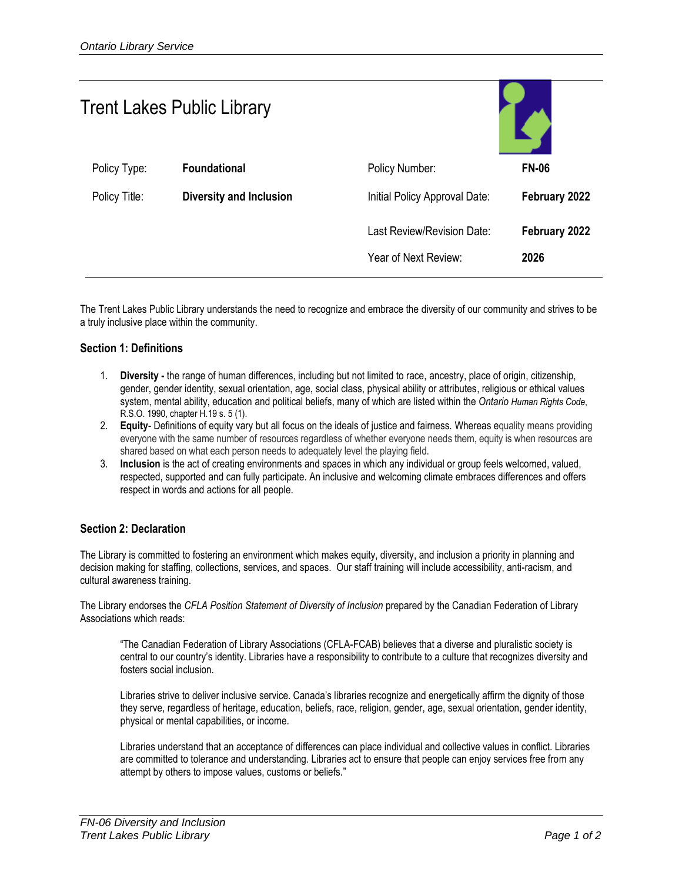| <b>Trent Lakes Public Library</b> |                                |                                                    |                       |
|-----------------------------------|--------------------------------|----------------------------------------------------|-----------------------|
| Policy Type:                      | <b>Foundational</b>            | Policy Number:                                     | <b>FN-06</b>          |
| Policy Title:                     | <b>Diversity and Inclusion</b> | Initial Policy Approval Date:                      | February 2022         |
|                                   |                                | Last Review/Revision Date:<br>Year of Next Review: | February 2022<br>2026 |

The Trent Lakes Public Library understands the need to recognize and embrace the diversity of our community and strives to be a truly inclusive place within the community.

#### **Section 1: Definitions**

- 1. **Diversity -** the range of human differences, including but not limited to race, ancestry, place of origin, citizenship, gender, gender identity, sexual orientation, age, social class, physical ability or attributes, religious or ethical values system, mental ability, education and political beliefs, many of which are listed within the *Ontario Human Rights Code*, R.S.O. 1990, chapter H.19 s. 5 (1).
- 2. **Equity** Definitions of equity vary but all focus on the ideals of justice and fairness. Whereas equality means providing everyone with the same number of resources regardless of whether everyone needs them, equity is when resources are shared based on what each person needs to adequately level the playing field.
- 3. **Inclusion** is the act of creating environments and spaces in which any individual or group feels welcomed, valued, respected, supported and can fully participate. An inclusive and welcoming climate embraces differences and offers respect in words and actions for all people.

## **Section 2: Declaration**

The Library is committed to fostering an environment which makes equity, diversity, and inclusion a priority in planning and decision making for staffing, collections, services, and spaces. Our staff training will include accessibility, anti-racism, and cultural awareness training.

The Library endorses the *CFLA Position Statement of Diversity of Inclusion* prepared by the Canadian Federation of Library Associations which reads:

"The Canadian Federation of Library Associations (CFLA-FCAB) believes that a diverse and pluralistic society is central to our country's identity. Libraries have a responsibility to contribute to a culture that recognizes diversity and fosters social inclusion.

Libraries strive to deliver inclusive service. Canada's libraries recognize and energetically affirm the dignity of those they serve, regardless of heritage, education, beliefs, race, religion, gender, age, sexual orientation, gender identity, physical or mental capabilities, or income.

Libraries understand that an acceptance of differences can place individual and collective values in conflict. Libraries are committed to tolerance and understanding. Libraries act to ensure that people can enjoy services free from any attempt by others to impose values, customs or beliefs."